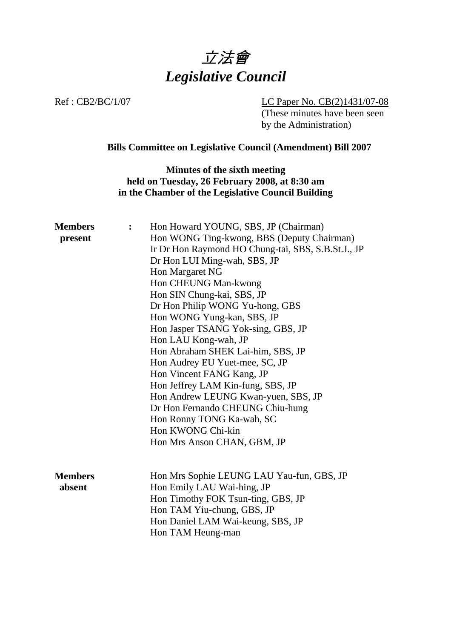

Ref : CB2/BC/1/07 LC Paper No. CB(2)1431/07-08 (These minutes have been seen by the Administration)

# **Bills Committee on Legislative Council (Amendment) Bill 2007**

**Minutes of the sixth meeting held on Tuesday, 26 February 2008, at 8:30 am in the Chamber of the Legislative Council Building**

| <b>Members</b><br>present | $\ddot{\cdot}$ | Hon Howard YOUNG, SBS, JP (Chairman)<br>Hon WONG Ting-kwong, BBS (Deputy Chairman)<br>Ir Dr Hon Raymond HO Chung-tai, SBS, S.B.St.J., JP<br>Dr Hon LUI Ming-wah, SBS, JP<br>Hon Margaret NG           |
|---------------------------|----------------|-------------------------------------------------------------------------------------------------------------------------------------------------------------------------------------------------------|
|                           |                | Hon CHEUNG Man-kwong<br>Hon SIN Chung-kai, SBS, JP<br>Dr Hon Philip WONG Yu-hong, GBS                                                                                                                 |
|                           |                | Hon WONG Yung-kan, SBS, JP<br>Hon Jasper TSANG Yok-sing, GBS, JP<br>Hon LAU Kong-wah, JP                                                                                                              |
|                           |                | Hon Abraham SHEK Lai-him, SBS, JP<br>Hon Audrey EU Yuet-mee, SC, JP<br>Hon Vincent FANG Kang, JP                                                                                                      |
|                           |                | Hon Jeffrey LAM Kin-fung, SBS, JP<br>Hon Andrew LEUNG Kwan-yuen, SBS, JP                                                                                                                              |
|                           |                | Dr Hon Fernando CHEUNG Chiu-hung<br>Hon Ronny TONG Ka-wah, SC<br>Hon KWONG Chi-kin                                                                                                                    |
|                           |                | Hon Mrs Anson CHAN, GBM, JP                                                                                                                                                                           |
| <b>Members</b><br>absent  |                | Hon Mrs Sophie LEUNG LAU Yau-fun, GBS, JP<br>Hon Emily LAU Wai-hing, JP<br>Hon Timothy FOK Tsun-ting, GBS, JP<br>Hon TAM Yiu-chung, GBS, JP<br>Hon Daniel LAM Wai-keung, SBS, JP<br>Hon TAM Heung-man |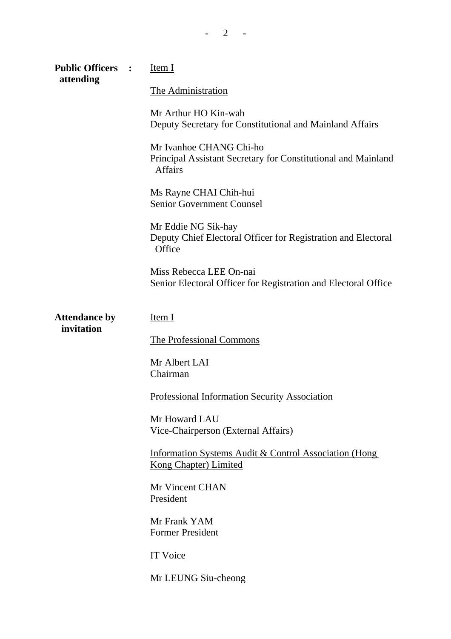| <b>Public Officers</b><br>attending | $\ddot{\phantom{1}}$ | Item <sub>I</sub>                                                                                          |
|-------------------------------------|----------------------|------------------------------------------------------------------------------------------------------------|
|                                     |                      | The Administration                                                                                         |
|                                     |                      | Mr Arthur HO Kin-wah<br>Deputy Secretary for Constitutional and Mainland Affairs                           |
|                                     |                      | Mr Ivanhoe CHANG Chi-ho<br>Principal Assistant Secretary for Constitutional and Mainland<br><b>Affairs</b> |
|                                     |                      | Ms Rayne CHAI Chih-hui<br><b>Senior Government Counsel</b>                                                 |
|                                     |                      | Mr Eddie NG Sik-hay<br>Deputy Chief Electoral Officer for Registration and Electoral<br>Office             |
|                                     |                      | Miss Rebecca LEE On-nai<br>Senior Electoral Officer for Registration and Electoral Office                  |
| <b>Attendance by</b>                |                      | Item I                                                                                                     |
| invitation                          |                      | <b>The Professional Commons</b>                                                                            |
|                                     |                      | Mr Albert LAI<br>Chairman                                                                                  |
|                                     |                      | <b>Professional Information Security Association</b>                                                       |
|                                     |                      | Mr Howard LAU<br>Vice-Chairperson (External Affairs)                                                       |
|                                     |                      | Information Systems Audit & Control Association (Hong<br><b>Kong Chapter) Limited</b>                      |
|                                     |                      | Mr Vincent CHAN<br>President                                                                               |
|                                     |                      | Mr Frank YAM<br><b>Former President</b>                                                                    |
|                                     |                      | IT Voice                                                                                                   |
|                                     |                      | Mr LEUNG Siu-cheong                                                                                        |

 $- 2 - 1$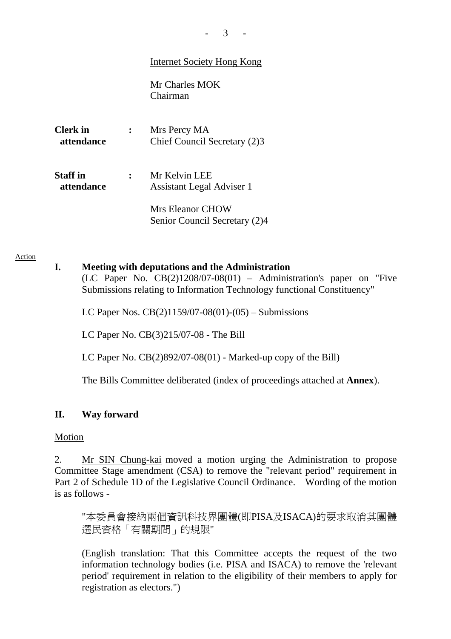| <b>Internet Society Hong Kong</b> |  |  |
|-----------------------------------|--|--|
|                                   |  |  |

Mr Charles MOK Chairman

**Clerk in attendance :** Mrs Percy MA Chief Council Secretary (2)3

**Staff in attendance :** Mr Kelvin LEE Assistant Legal Adviser 1

> Mrs Eleanor CHOW Senior Council Secretary (2)4

#### Action

### **I. Meeting with deputations and the Administration**

(LC Paper No.  $CB(2)1208/07-08(01)$  – Administration's paper on "Five Submissions relating to Information Technology functional Constituency"

LC Paper Nos. CB(2)1159/07-08(01)-(05) – Submissions

LC Paper No. CB(3)215/07-08 - The Bill

LC Paper No.  $CB(2)892/07-08(01)$  - Marked-up copy of the Bill)

The Bills Committee deliberated (index of proceedings attached at **Annex**).

### **II. Way forward**

#### Motion

2. Mr SIN Chung-kai moved a motion urging the Administration to propose Committee Stage amendment (CSA) to remove the "relevant period" requirement in Part 2 of Schedule 1D of the Legislative Council Ordinance. Wording of the motion is as follows -

"本委員會接納兩個資訊科技界團體(即PISA及ISACA)的要求取消其團體 選民資格「有關期間」的規限"

(English translation: That this Committee accepts the request of the two information technology bodies (i.e. PISA and ISACA) to remove the 'relevant period' requirement in relation to the eligibility of their members to apply for registration as electors.")

 $3 - 1$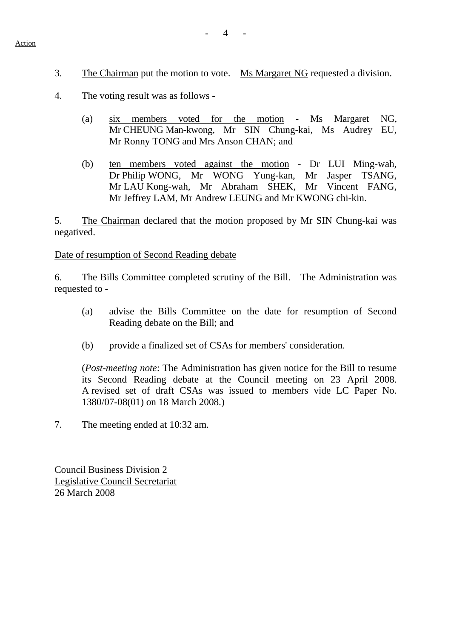3. The Chairman put the motion to vote. Ms Margaret NG requested a division.

- 4. The voting result was as follows
	- (a) six members voted for the motion Ms Margaret NG, Mr CHEUNG Man-kwong, Mr SIN Chung-kai, Ms Audrey EU, Mr Ronny TONG and Mrs Anson CHAN; and
	- (b) ten members voted against the motion Dr LUI Ming-wah, Dr Philip WONG, Mr WONG Yung-kan, Mr Jasper TSANG, Mr LAU Kong-wah, Mr Abraham SHEK, Mr Vincent FANG, Mr Jeffrey LAM, Mr Andrew LEUNG and Mr KWONG chi-kin.

5. The Chairman declared that the motion proposed by Mr SIN Chung-kai was negatived.

Date of resumption of Second Reading debate

6. The Bills Committee completed scrutiny of the Bill. The Administration was requested to -

- (a) advise the Bills Committee on the date for resumption of Second Reading debate on the Bill; and
- (b) provide a finalized set of CSAs for members' consideration.

(*Post-meeting note*: The Administration has given notice for the Bill to resume its Second Reading debate at the Council meeting on 23 April 2008. A revised set of draft CSAs was issued to members vide LC Paper No. 1380/07-08(01) on 18 March 2008.)

7. The meeting ended at 10:32 am.

Council Business Division 2 Legislative Council Secretariat 26 March 2008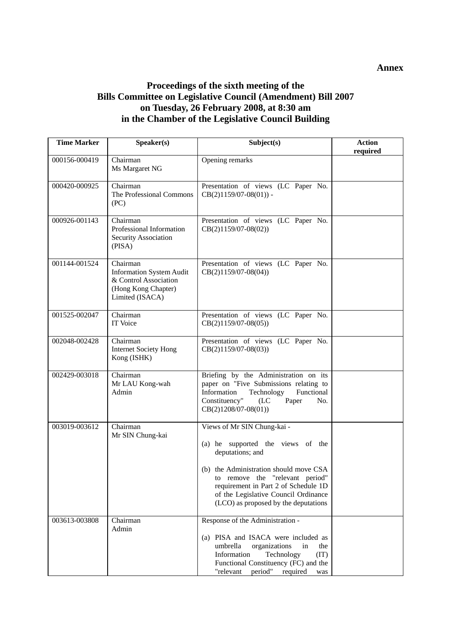## **Proceedings of the sixth meeting of the Bills Committee on Legislative Council (Amendment) Bill 2007 on Tuesday, 26 February 2008, at 8:30 am in the Chamber of the Legislative Council Building**

| <b>Time Marker</b> | Speaker(s)                                                                                                     | Subject(s)                                                                                                                                                                                                                                                                                | <b>Action</b><br>required |
|--------------------|----------------------------------------------------------------------------------------------------------------|-------------------------------------------------------------------------------------------------------------------------------------------------------------------------------------------------------------------------------------------------------------------------------------------|---------------------------|
| 000156-000419      | Chairman<br>Ms Margaret NG                                                                                     | Opening remarks                                                                                                                                                                                                                                                                           |                           |
| 000420-000925      | Chairman<br>The Professional Commons<br>(PC)                                                                   | Presentation of views (LC Paper No.<br>$CB(2)1159/07-08(01))$ -                                                                                                                                                                                                                           |                           |
| 000926-001143      | Chairman<br>Professional Information<br>Security Association<br>(PISA)                                         | Presentation of views (LC Paper No.<br>$CB(2)1159/07-08(02))$                                                                                                                                                                                                                             |                           |
| 001144-001524      | Chairman<br><b>Information System Audit</b><br>& Control Association<br>(Hong Kong Chapter)<br>Limited (ISACA) | Presentation of views (LC Paper No.<br>$CB(2)1159/07-08(04))$                                                                                                                                                                                                                             |                           |
| 001525-002047      | Chairman<br>IT Voice                                                                                           | Presentation of views (LC Paper No.<br>$CB(2)1159/07-08(05))$                                                                                                                                                                                                                             |                           |
| 002048-002428      | Chairman<br><b>Internet Society Hong</b><br>Kong (ISHK)                                                        | Presentation of views (LC Paper No.<br>$CB(2)1159/07-08(03))$                                                                                                                                                                                                                             |                           |
| 002429-003018      | Chairman<br>Mr LAU Kong-wah<br>Admin                                                                           | Briefing by the Administration on its<br>paper on "Five Submissions relating to<br>Information<br>Technology<br>Functional<br>Constituency"<br>(LC)<br>Paper<br>No.<br>$CB(2)1208/07-08(01))$                                                                                             |                           |
| 003019-003612      | Chairman<br>Mr SIN Chung-kai                                                                                   | Views of Mr SIN Chung-kai -<br>(a) he supported the views of the<br>deputations; and<br>(b) the Administration should move CSA<br>to remove the "relevant period"<br>requirement in Part 2 of Schedule 1D<br>of the Legislative Council Ordinance<br>(LCO) as proposed by the deputations |                           |
| 003613-003808      | Chairman<br>Admin                                                                                              | Response of the Administration -<br>(a) PISA and ISACA were included as<br>organizations<br>umbrella<br>in<br>the<br>Information<br>Technology<br>(TI)<br>Functional Constituency (FC) and the<br>"relevant period" required<br>was                                                       |                           |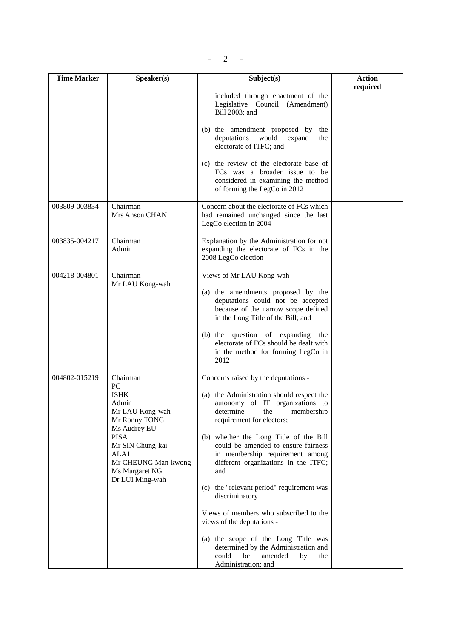$- 2 -$ 

| <b>Time Marker</b> | Speaker(s)                                                                                                                                                                                        | Subject(s)                                                                                                                                                                                                                                                                                                                                                                                                                                                                                                                                                                                                                                 | <b>Action</b> |
|--------------------|---------------------------------------------------------------------------------------------------------------------------------------------------------------------------------------------------|--------------------------------------------------------------------------------------------------------------------------------------------------------------------------------------------------------------------------------------------------------------------------------------------------------------------------------------------------------------------------------------------------------------------------------------------------------------------------------------------------------------------------------------------------------------------------------------------------------------------------------------------|---------------|
|                    |                                                                                                                                                                                                   | included through enactment of the<br>Legislative Council (Amendment)<br>Bill 2003; and                                                                                                                                                                                                                                                                                                                                                                                                                                                                                                                                                     | required      |
|                    |                                                                                                                                                                                                   | (b) the amendment proposed by<br>the<br>deputations<br>would<br>expand<br>the<br>electorate of ITFC; and                                                                                                                                                                                                                                                                                                                                                                                                                                                                                                                                   |               |
|                    |                                                                                                                                                                                                   | (c) the review of the electorate base of<br>FCs was a broader issue to be<br>considered in examining the method<br>of forming the LegCo in 2012                                                                                                                                                                                                                                                                                                                                                                                                                                                                                            |               |
| 003809-003834      | Chairman<br><b>Mrs Anson CHAN</b>                                                                                                                                                                 | Concern about the electorate of FCs which<br>had remained unchanged since the last<br>LegCo election in 2004                                                                                                                                                                                                                                                                                                                                                                                                                                                                                                                               |               |
| 003835-004217      | Chairman<br>Admin                                                                                                                                                                                 | Explanation by the Administration for not<br>expanding the electorate of FCs in the<br>2008 LegCo election                                                                                                                                                                                                                                                                                                                                                                                                                                                                                                                                 |               |
| 004218-004801      | Chairman<br>Mr LAU Kong-wah                                                                                                                                                                       | Views of Mr LAU Kong-wah -<br>(a) the amendments proposed by the<br>deputations could not be accepted<br>because of the narrow scope defined<br>in the Long Title of the Bill; and<br>question of expanding<br>$(b)$ the<br>the<br>electorate of FCs should be dealt with<br>in the method for forming LegCo in<br>2012                                                                                                                                                                                                                                                                                                                    |               |
| 004802-015219      | Chairman<br>PC<br><b>ISHK</b><br>Admin<br>Mr LAU Kong-wah<br>Mr Ronny TONG<br>Ms Audrey EU<br><b>PISA</b><br>Mr SIN Chung-kai<br>ALA1<br>Mr CHEUNG Man-kwong<br>Ms Margaret NG<br>Dr LUI Ming-wah | Concerns raised by the deputations -<br>(a) the Administration should respect the<br>autonomy of IT organizations to<br>determine<br>the<br>membership<br>requirement for electors;<br>(b) whether the Long Title of the Bill<br>could be amended to ensure fairness<br>in membership requirement among<br>different organizations in the ITFC;<br>and<br>(c) the "relevant period" requirement was<br>discriminatory<br>Views of members who subscribed to the<br>views of the deputations -<br>(a) the scope of the Long Title was<br>determined by the Administration and<br>be<br>could<br>amended<br>by<br>the<br>Administration; and |               |